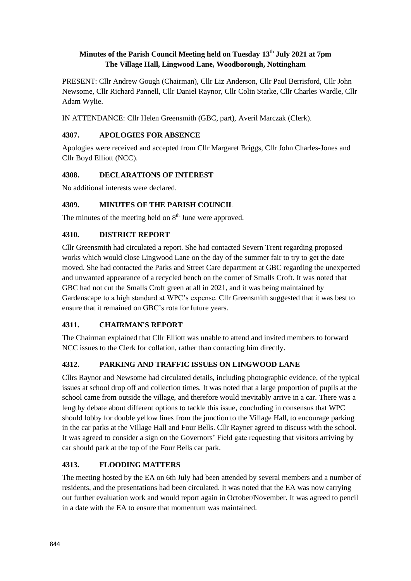## **Minutes of the Parish Council Meeting held on Tuesday 13th July 2021 at 7pm The Village Hall, Lingwood Lane, Woodborough, Nottingham**

PRESENT: Cllr Andrew Gough (Chairman), Cllr Liz Anderson, Cllr Paul Berrisford, Cllr John Newsome, Cllr Richard Pannell, Cllr Daniel Raynor, Cllr Colin Starke, Cllr Charles Wardle, Cllr Adam Wylie.

IN ATTENDANCE: Cllr Helen Greensmith (GBC, part), Averil Marczak (Clerk).

### **4307. APOLOGIES FOR ABSENCE**

Apologies were received and accepted from Cllr Margaret Briggs, Cllr John Charles-Jones and Cllr Boyd Elliott (NCC).

### **4308. DECLARATIONS OF INTEREST**

No additional interests were declared.

## **4309. MINUTES OF THE PARISH COUNCIL**

The minutes of the meeting held on  $8<sup>th</sup>$  June were approved.

## **4310. DISTRICT REPORT**

Cllr Greensmith had circulated a report. She had contacted Severn Trent regarding proposed works which would close Lingwood Lane on the day of the summer fair to try to get the date moved. She had contacted the Parks and Street Care department at GBC regarding the unexpected and unwanted appearance of a recycled bench on the corner of Smalls Croft. It was noted that GBC had not cut the Smalls Croft green at all in 2021, and it was being maintained by Gardenscape to a high standard at WPC's expense. Cllr Greensmith suggested that it was best to ensure that it remained on GBC's rota for future years.

## **4311. CHAIRMAN'S REPORT**

The Chairman explained that Cllr Elliott was unable to attend and invited members to forward NCC issues to the Clerk for collation, rather than contacting him directly.

## **4312. PARKING AND TRAFFIC ISSUES ON LINGWOOD LANE**

Cllrs Raynor and Newsome had circulated details, including photographic evidence, of the typical issues at school drop off and collection times. It was noted that a large proportion of pupils at the school came from outside the village, and therefore would inevitably arrive in a car. There was a lengthy debate about different options to tackle this issue, concluding in consensus that WPC should lobby for double yellow lines from the junction to the Village Hall, to encourage parking in the car parks at the Village Hall and Four Bells. Cllr Rayner agreed to discuss with the school. It was agreed to consider a sign on the Governors' Field gate requesting that visitors arriving by car should park at the top of the Four Bells car park.

## **4313. FLOODING MATTERS**

The meeting hosted by the EA on 6th July had been attended by several members and a number of residents, and the presentations had been circulated. It was noted that the EA was now carrying out further evaluation work and would report again in October/November. It was agreed to pencil in a date with the EA to ensure that momentum was maintained.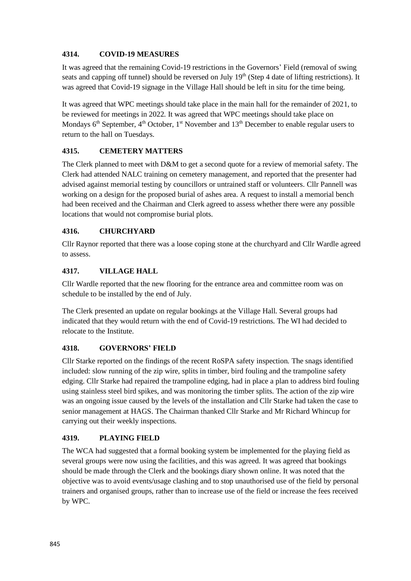### **4314. COVID-19 MEASURES**

It was agreed that the remaining Covid-19 restrictions in the Governors' Field (removal of swing seats and capping off tunnel) should be reversed on July 19<sup>th</sup> (Step 4 date of lifting restrictions). It was agreed that Covid-19 signage in the Village Hall should be left in situ for the time being.

It was agreed that WPC meetings should take place in the main hall for the remainder of 2021, to be reviewed for meetings in 2022. It was agreed that WPC meetings should take place on Mondays  $6<sup>th</sup>$  September,  $4<sup>th</sup>$  October,  $1<sup>st</sup>$  November and  $13<sup>th</sup>$  December to enable regular users to return to the hall on Tuesdays.

## **4315. CEMETERY MATTERS**

The Clerk planned to meet with D&M to get a second quote for a review of memorial safety. The Clerk had attended NALC training on cemetery management, and reported that the presenter had advised against memorial testing by councillors or untrained staff or volunteers. Cllr Pannell was working on a design for the proposed burial of ashes area. A request to install a memorial bench had been received and the Chairman and Clerk agreed to assess whether there were any possible locations that would not compromise burial plots.

### **4316. CHURCHYARD**

Cllr Raynor reported that there was a loose coping stone at the churchyard and Cllr Wardle agreed to assess.

### **4317. VILLAGE HALL**

Cllr Wardle reported that the new flooring for the entrance area and committee room was on schedule to be installed by the end of July.

The Clerk presented an update on regular bookings at the Village Hall. Several groups had indicated that they would return with the end of Covid-19 restrictions. The WI had decided to relocate to the Institute.

#### **4318. GOVERNORS' FIELD**

Cllr Starke reported on the findings of the recent RoSPA safety inspection. The snags identified included: slow running of the zip wire, splits in timber, bird fouling and the trampoline safety edging. Cllr Starke had repaired the trampoline edging, had in place a plan to address bird fouling using stainless steel bird spikes, and was monitoring the timber splits. The action of the zip wire was an ongoing issue caused by the levels of the installation and Cllr Starke had taken the case to senior management at HAGS. The Chairman thanked Cllr Starke and Mr Richard Whincup for carrying out their weekly inspections.

#### **4319. PLAYING FIELD**

The WCA had suggested that a formal booking system be implemented for the playing field as several groups were now using the facilities, and this was agreed. It was agreed that bookings should be made through the Clerk and the bookings diary shown online. It was noted that the objective was to avoid events/usage clashing and to stop unauthorised use of the field by personal trainers and organised groups, rather than to increase use of the field or increase the fees received by WPC.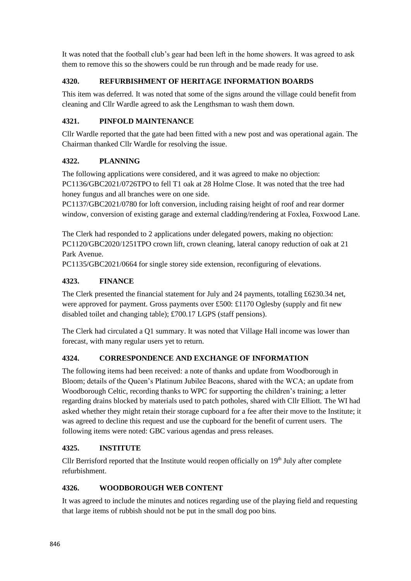It was noted that the football club's gear had been left in the home showers. It was agreed to ask them to remove this so the showers could be run through and be made ready for use.

## **4320. REFURBISHMENT OF HERITAGE INFORMATION BOARDS**

This item was deferred. It was noted that some of the signs around the village could benefit from cleaning and Cllr Wardle agreed to ask the Lengthsman to wash them down.

# **4321. PINFOLD MAINTENANCE**

Cllr Wardle reported that the gate had been fitted with a new post and was operational again. The Chairman thanked Cllr Wardle for resolving the issue.

## **4322. PLANNING**

The following applications were considered, and it was agreed to make no objection: PC1136/GBC2021/0726TPO to fell T1 oak at 28 Holme Close. It was noted that the tree had honey fungus and all branches were on one side.

PC1137/GBC2021/0780 for loft conversion, including raising height of roof and rear dormer window, conversion of existing garage and external cladding/rendering at Foxlea, Foxwood Lane.

The Clerk had responded to 2 applications under delegated powers, making no objection: PC1120/GBC2020/1251TPO crown lift, crown cleaning, lateral canopy reduction of oak at 21 Park Avenue.

PC1135/GBC2021/0664 for single storey side extension, reconfiguring of elevations.

# **4323. FINANCE**

The Clerk presented the financial statement for July and 24 payments, totalling £6230.34 net, were approved for payment. Gross payments over £500: £1170 Oglesby (supply and fit new disabled toilet and changing table); £700.17 LGPS (staff pensions).

The Clerk had circulated a Q1 summary. It was noted that Village Hall income was lower than forecast, with many regular users yet to return.

## **4324. CORRESPONDENCE AND EXCHANGE OF INFORMATION**

The following items had been received: a note of thanks and update from Woodborough in Bloom; details of the Queen's Platinum Jubilee Beacons, shared with the WCA; an update from Woodborough Celtic, recording thanks to WPC for supporting the children's training; a letter regarding drains blocked by materials used to patch potholes, shared with Cllr Elliott. The WI had asked whether they might retain their storage cupboard for a fee after their move to the Institute; it was agreed to decline this request and use the cupboard for the benefit of current users. The following items were noted: GBC various agendas and press releases.

## **4325. INSTITUTE**

Cllr Berrisford reported that the Institute would reopen officially on 19<sup>th</sup> July after complete refurbishment.

# **4326. WOODBOROUGH WEB CONTENT**

It was agreed to include the minutes and notices regarding use of the playing field and requesting that large items of rubbish should not be put in the small dog poo bins.